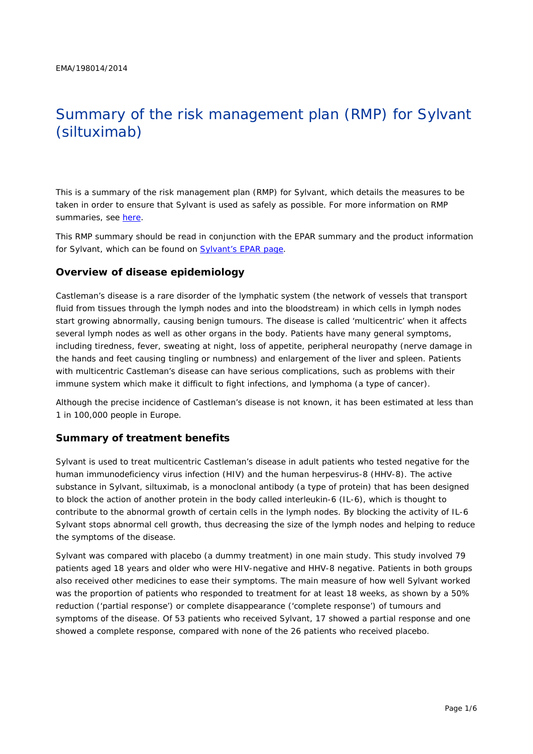# Summary of the risk management plan (RMP) for Sylvant (siltuximab)

This is a summary of the risk management plan (RMP) for Sylvant, which details the measures to be taken in order to ensure that Sylvant is used as safely as possible. For more information on RMP summaries, see [here.](http://www.ema.europa.eu/docs/en_GB/document_library/Other/2014/05/WC500166101.pdf)

This RMP summary should be read in conjunction with the EPAR summary and the product information for Sylvant, which can be found on [Sylvant's EPAR page.](http://www.ema.europa.eu/ema/index.jsp?curl=/pages/medicines/human/medicines/003708/human_med_001769.jsp)

#### **Overview of disease epidemiology**

Castleman's disease is a rare disorder of the lymphatic system (the network of vessels that transport fluid from tissues through the lymph nodes and into the bloodstream) in which cells in lymph nodes start growing abnormally, causing benign tumours. The disease is called 'multicentric' when it affects several lymph nodes as well as other organs in the body. Patients have many general symptoms, including tiredness, fever, sweating at night, loss of appetite, peripheral neuropathy (nerve damage in the hands and feet causing tingling or numbness) and enlargement of the liver and spleen. Patients with multicentric Castleman's disease can have serious complications, such as problems with their immune system which make it difficult to fight infections, and lymphoma (a type of cancer).

Although the precise incidence of Castleman's disease is not known, it has been estimated at less than 1 in 100,000 people in Europe.

#### **Summary of treatment benefits**

Sylvant is used to treat multicentric Castleman's disease in adult patients who tested negative for the human immunodeficiency virus infection (HIV) and the human herpesvirus-8 (HHV-8). The active substance in Sylvant, siltuximab, is a monoclonal antibody (a type of protein) that has been designed to block the action of another protein in the body called interleukin-6 (IL-6), which is thought to contribute to the abnormal growth of certain cells in the lymph nodes. By blocking the activity of IL-6 Sylvant stops abnormal cell growth, thus decreasing the size of the lymph nodes and helping to reduce the symptoms of the disease.

Sylvant was compared with placebo (a dummy treatment) in one main study. This study involved 79 patients aged 18 years and older who were HIV-negative and HHV-8 negative. Patients in both groups also received other medicines to ease their symptoms. The main measure of how well Sylvant worked was the proportion of patients who responded to treatment for at least 18 weeks, as shown by a 50% reduction ('partial response') or complete disappearance ('complete response') of tumours and symptoms of the disease. Of 53 patients who received Sylvant, 17 showed a partial response and one showed a complete response, compared with none of the 26 patients who received placebo.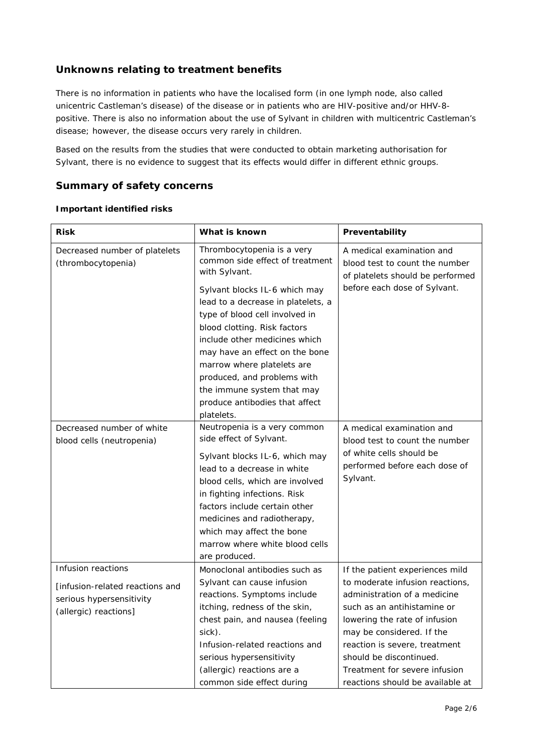# **Unknowns relating to treatment benefits**

There is no information in patients who have the localised form (in one lymph node, also called unicentric Castleman's disease) of the disease or in patients who are HIV-positive and/or HHV-8 positive. There is also no information about the use of Sylvant in children with multicentric Castleman's disease; however, the disease occurs very rarely in children.

Based on the results from the studies that were conducted to obtain marketing authorisation for Sylvant, there is no evidence to suggest that its effects would differ in different ethnic groups.

## **Summary of safety concerns**

#### *Important identified risks*

| <b>Risk</b>                                                                                                | What is known                                                                                                                                                                                                                                                                                                                                       | Preventability                                                                                                                                                                                                                                                                                                                   |  |
|------------------------------------------------------------------------------------------------------------|-----------------------------------------------------------------------------------------------------------------------------------------------------------------------------------------------------------------------------------------------------------------------------------------------------------------------------------------------------|----------------------------------------------------------------------------------------------------------------------------------------------------------------------------------------------------------------------------------------------------------------------------------------------------------------------------------|--|
| Decreased number of platelets<br>(thrombocytopenia)                                                        | Thrombocytopenia is a very<br>common side effect of treatment<br>with Sylvant.                                                                                                                                                                                                                                                                      | A medical examination and<br>blood test to count the number<br>of platelets should be performed                                                                                                                                                                                                                                  |  |
|                                                                                                            | Sylvant blocks IL-6 which may<br>lead to a decrease in platelets, a<br>type of blood cell involved in<br>blood clotting. Risk factors<br>include other medicines which<br>may have an effect on the bone<br>marrow where platelets are<br>produced, and problems with<br>the immune system that may<br>produce antibodies that affect<br>platelets. | before each dose of Sylvant.                                                                                                                                                                                                                                                                                                     |  |
| Decreased number of white<br>blood cells (neutropenia)                                                     | Neutropenia is a very common<br>side effect of Sylvant.<br>Sylvant blocks IL-6, which may<br>lead to a decrease in white<br>blood cells, which are involved<br>in fighting infections. Risk<br>factors include certain other<br>medicines and radiotherapy,<br>which may affect the bone<br>marrow where white blood cells<br>are produced.         | A medical examination and<br>blood test to count the number<br>of white cells should be<br>performed before each dose of<br>Sylvant.                                                                                                                                                                                             |  |
| Infusion reactions<br>[infusion-related reactions and<br>serious hypersensitivity<br>(allergic) reactions] | Monoclonal antibodies such as<br>Sylvant can cause infusion<br>reactions. Symptoms include<br>itching, redness of the skin,<br>chest pain, and nausea (feeling<br>sick).<br>Infusion-related reactions and<br>serious hypersensitivity<br>(allergic) reactions are a<br>common side effect during                                                   | If the patient experiences mild<br>to moderate infusion reactions,<br>administration of a medicine<br>such as an antihistamine or<br>lowering the rate of infusion<br>may be considered. If the<br>reaction is severe, treatment<br>should be discontinued.<br>Treatment for severe infusion<br>reactions should be available at |  |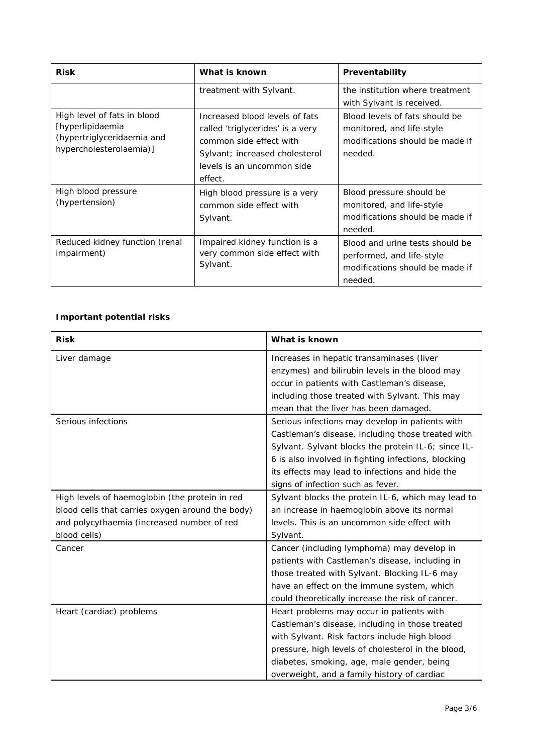| <b>Risk</b>                                                                                              | What is known                                                                                                                                                            | Preventability                                                                                             |  |
|----------------------------------------------------------------------------------------------------------|--------------------------------------------------------------------------------------------------------------------------------------------------------------------------|------------------------------------------------------------------------------------------------------------|--|
|                                                                                                          | treatment with Sylvant.                                                                                                                                                  | the institution where treatment<br>with Sylvant is received.                                               |  |
| High level of fats in blood<br>[hyperlipidaemia<br>(hypertriglyceridaemia and<br>hypercholesterolaemia)] | Increased blood levels of fats<br>called 'triglycerides' is a very<br>common side effect with<br>Sylvant; increased cholesterol<br>levels is an uncommon side<br>effect. | Blood levels of fats should be<br>monitored, and life-style<br>modifications should be made if<br>needed.  |  |
| High blood pressure<br>(hypertension)                                                                    | High blood pressure is a very<br>common side effect with<br>Sylvant.                                                                                                     | Blood pressure should be<br>monitored, and life-style<br>modifications should be made if<br>needed.        |  |
| Reduced kidney function (renal<br>impairment)                                                            | Impaired kidney function is a<br>very common side effect with<br>Sylvant.                                                                                                | Blood and urine tests should be<br>performed, and life-style<br>modifications should be made if<br>needed. |  |

#### *Important potential risks*

| <b>Risk</b>                                      | What is known                                       |
|--------------------------------------------------|-----------------------------------------------------|
| Liver damage                                     | Increases in hepatic transaminases (liver           |
|                                                  | enzymes) and bilirubin levels in the blood may      |
|                                                  | occur in patients with Castleman's disease,         |
|                                                  | including those treated with Sylvant. This may      |
|                                                  | mean that the liver has been damaged.               |
| Serious infections                               | Serious infections may develop in patients with     |
|                                                  | Castleman's disease, including those treated with   |
|                                                  | Sylvant. Sylvant blocks the protein IL-6; since IL- |
|                                                  | 6 is also involved in fighting infections, blocking |
|                                                  | its effects may lead to infections and hide the     |
|                                                  | signs of infection such as fever.                   |
| High levels of haemoglobin (the protein in red   | Sylvant blocks the protein IL-6, which may lead to  |
| blood cells that carries oxygen around the body) | an increase in haemoglobin above its normal         |
| and polycythaemia (increased number of red       | levels. This is an uncommon side effect with        |
| blood cells)                                     | Sylvant.                                            |
| Cancer                                           | Cancer (including lymphoma) may develop in          |
|                                                  | patients with Castleman's disease, including in     |
|                                                  | those treated with Sylvant. Blocking IL-6 may       |
|                                                  | have an effect on the immune system, which          |
|                                                  | could theoretically increase the risk of cancer.    |
| Heart (cardiac) problems                         | Heart problems may occur in patients with           |
|                                                  | Castleman's disease, including in those treated     |
|                                                  | with Sylvant. Risk factors include high blood       |
|                                                  | pressure, high levels of cholesterol in the blood,  |
|                                                  | diabetes, smoking, age, male gender, being          |
|                                                  | overweight, and a family history of cardiac         |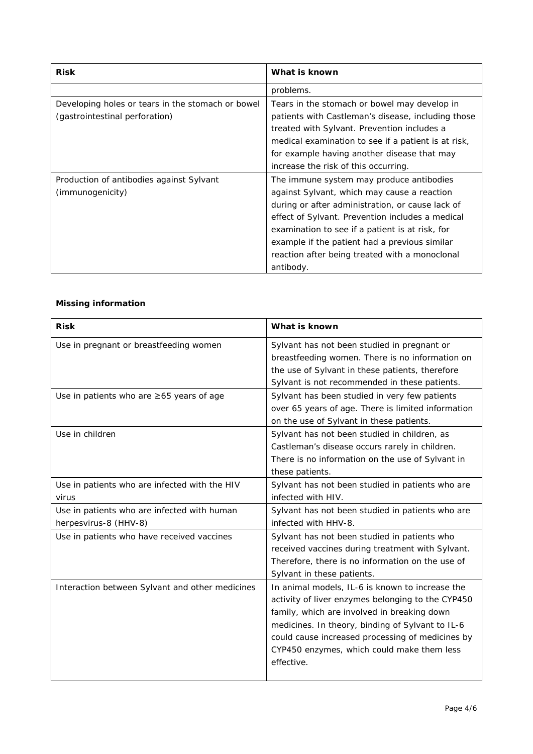| <b>Risk</b>                                       | What is known                                       |  |
|---------------------------------------------------|-----------------------------------------------------|--|
|                                                   | problems.                                           |  |
| Developing holes or tears in the stomach or bowel | Tears in the stomach or bowel may develop in        |  |
| (gastrointestinal perforation)                    | patients with Castleman's disease, including those  |  |
|                                                   | treated with Sylvant. Prevention includes a         |  |
|                                                   | medical examination to see if a patient is at risk, |  |
|                                                   | for example having another disease that may         |  |
|                                                   | increase the risk of this occurring.                |  |
| Production of antibodies against Sylvant          | The immune system may produce antibodies            |  |
| (immunogenicity)                                  | against Sylvant, which may cause a reaction         |  |
|                                                   | during or after administration, or cause lack of    |  |
|                                                   | effect of Sylvant. Prevention includes a medical    |  |
|                                                   | examination to see if a patient is at risk, for     |  |
|                                                   | example if the patient had a previous similar       |  |
|                                                   | reaction after being treated with a monoclonal      |  |
|                                                   | antibody.                                           |  |

# *Missing information*

| <b>Risk</b>                                     | What is known                                      |
|-------------------------------------------------|----------------------------------------------------|
| Use in pregnant or breastfeeding women          | Sylvant has not been studied in pregnant or        |
|                                                 | breastfeeding women. There is no information on    |
|                                                 | the use of Sylvant in these patients, therefore    |
|                                                 | Sylvant is not recommended in these patients.      |
| Use in patients who are $\geq 65$ years of age  | Sylvant has been studied in very few patients      |
|                                                 | over 65 years of age. There is limited information |
|                                                 | on the use of Sylvant in these patients.           |
| Use in children                                 | Sylvant has not been studied in children, as       |
|                                                 | Castleman's disease occurs rarely in children.     |
|                                                 | There is no information on the use of Sylvant in   |
|                                                 | these patients.                                    |
| Use in patients who are infected with the HIV   | Sylvant has not been studied in patients who are   |
| virus                                           | infected with HIV.                                 |
| Use in patients who are infected with human     | Sylvant has not been studied in patients who are   |
| herpesvirus-8 (HHV-8)                           | infected with HHV-8.                               |
| Use in patients who have received vaccines      | Sylvant has not been studied in patients who       |
|                                                 | received vaccines during treatment with Sylvant.   |
|                                                 | Therefore, there is no information on the use of   |
|                                                 | Sylvant in these patients.                         |
| Interaction between Sylvant and other medicines | In animal models, IL-6 is known to increase the    |
|                                                 | activity of liver enzymes belonging to the CYP450  |
|                                                 | family, which are involved in breaking down        |
|                                                 | medicines. In theory, binding of Sylvant to IL-6   |
|                                                 | could cause increased processing of medicines by   |
|                                                 | CYP450 enzymes, which could make them less         |
|                                                 | effective.                                         |
|                                                 |                                                    |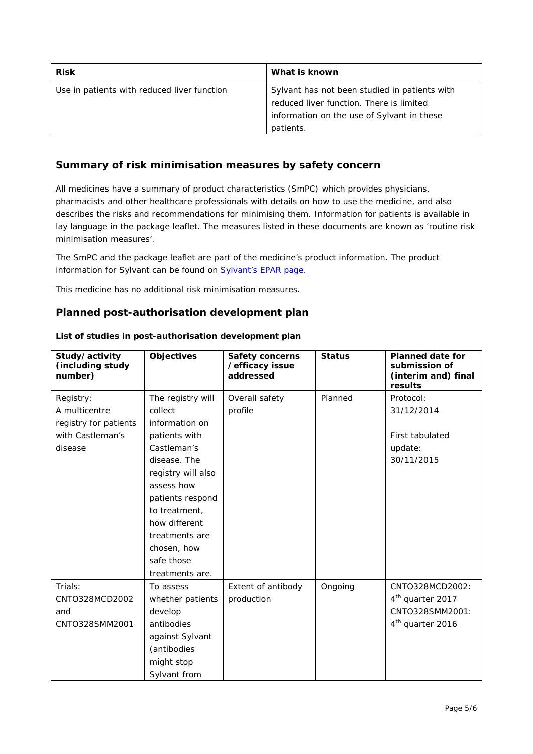| <b>Risk</b>                                 | What is known                                 |  |
|---------------------------------------------|-----------------------------------------------|--|
| Use in patients with reduced liver function | Sylvant has not been studied in patients with |  |
|                                             | reduced liver function. There is limited      |  |
|                                             | information on the use of Sylvant in these    |  |
|                                             | patients.                                     |  |

## **Summary of risk minimisation measures by safety concern**

All medicines have a summary of product characteristics (SmPC) which provides physicians, pharmacists and other healthcare professionals with details on how to use the medicine, and also describes the risks and recommendations for minimising them. Information for patients is available in lay language in the package leaflet. The measures listed in these documents are known as 'routine risk minimisation measures'.

The SmPC and the package leaflet are part of the medicine's product information. The product information for Sylvant can be found on [Sylvant's EPAR page.](http://www.ema.europa.eu/ema/index.jsp?curl=/pages/medicines/human/medicines/003708/human_med_001769.jsp)

This medicine has no additional risk minimisation measures.

#### **Planned post-authorisation development plan**

| Study/activity<br>(including study<br>number) | <b>Objectives</b>  | <b>Safety concerns</b><br>/efficacy issue<br>addressed | <b>Status</b> | <b>Planned date for</b><br>submission of<br>(interim and) final<br>results |
|-----------------------------------------------|--------------------|--------------------------------------------------------|---------------|----------------------------------------------------------------------------|
| Registry:                                     | The registry will  | Overall safety                                         | Planned       | Protocol:                                                                  |
| A multicentre                                 | collect            | profile                                                |               | 31/12/2014                                                                 |
| registry for patients                         | information on     |                                                        |               |                                                                            |
| with Castleman's                              | patients with      |                                                        |               | First tabulated                                                            |
| disease                                       | Castleman's        |                                                        |               | update:                                                                    |
|                                               | disease. The       |                                                        |               | 30/11/2015                                                                 |
|                                               | registry will also |                                                        |               |                                                                            |
|                                               | assess how         |                                                        |               |                                                                            |
|                                               | patients respond   |                                                        |               |                                                                            |
|                                               | to treatment,      |                                                        |               |                                                                            |
|                                               | how different      |                                                        |               |                                                                            |
|                                               | treatments are     |                                                        |               |                                                                            |
|                                               | chosen, how        |                                                        |               |                                                                            |
|                                               | safe those         |                                                        |               |                                                                            |
|                                               | treatments are.    |                                                        |               |                                                                            |
| Trials:                                       | To assess          | Extent of antibody                                     | Ongoing       | CNTO328MCD2002:                                                            |
| CNTO328MCD2002                                | whether patients   | production                                             |               | 4 <sup>th</sup> quarter 2017                                               |
| and                                           | develop            |                                                        |               | CNTO328SMM2001:                                                            |
| CNTO328SMM2001                                | antibodies         |                                                        |               | 4 <sup>th</sup> quarter 2016                                               |
|                                               | against Sylvant    |                                                        |               |                                                                            |
|                                               | (antibodies        |                                                        |               |                                                                            |
|                                               | might stop         |                                                        |               |                                                                            |
|                                               | Sylvant from       |                                                        |               |                                                                            |

*List of studies in post-authorisation development plan*